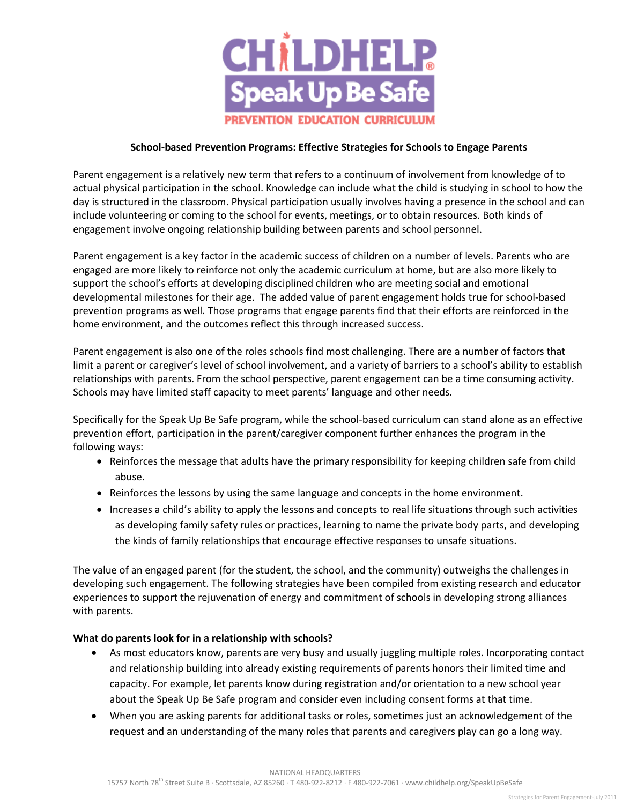

## **School-based Prevention Programs: Effective Strategies for Schools to Engage Parents**

Parent engagement is a relatively new term that refers to a continuum of involvement from knowledge of to actual physical participation in the school. Knowledge can include what the child is studying in school to how the day is structured in the classroom. Physical participation usually involves having a presence in the school and can include volunteering or coming to the school for events, meetings, or to obtain resources. Both kinds of engagement involve ongoing relationship building between parents and school personnel.

Parent engagement is a key factor in the academic success of children on a number of levels. Parents who are engaged are more likely to reinforce not only the academic curriculum at home, but are also more likely to support the school's efforts at developing disciplined children who are meeting social and emotional developmental milestones for their age. The added value of parent engagement holds true for school-based prevention programs as well. Those programs that engage parents find that their efforts are reinforced in the home environment, and the outcomes reflect this through increased success.

Parent engagement is also one of the roles schools find most challenging. There are a number of factors that limit a parent or caregiver's level of school involvement, and a variety of barriers to a school's ability to establish relationships with parents. From the school perspective, parent engagement can be a time consuming activity. Schools may have limited staff capacity to meet parents' language and other needs.

Specifically for the Speak Up Be Safe program, while the school-based curriculum can stand alone as an effective prevention effort, participation in the parent/caregiver component further enhances the program in the following ways:

- Reinforces the message that adults have the primary responsibility for keeping children safe from child abuse.
- Reinforces the lessons by using the same language and concepts in the home environment.
- Increases a child's ability to apply the lessons and concepts to real life situations through such activities as developing family safety rules or practices, learning to name the private body parts, and developing the kinds of family relationships that encourage effective responses to unsafe situations.

The value of an engaged parent (for the student, the school, and the community) outweighs the challenges in developing such engagement. The following strategies have been compiled from existing research and educator experiences to support the rejuvenation of energy and commitment of schools in developing strong alliances with parents.

## **What do parents look for in a relationship with schools?**

- As most educators know, parents are very busy and usually juggling multiple roles. Incorporating contact and relationship building into already existing requirements of parents honors their limited time and capacity. For example, let parents know during registration and/or orientation to a new school year about the Speak Up Be Safe program and consider even including consent forms at that time.
- When you are asking parents for additional tasks or roles, sometimes just an acknowledgement of the request and an understanding of the many roles that parents and caregivers play can go a long way.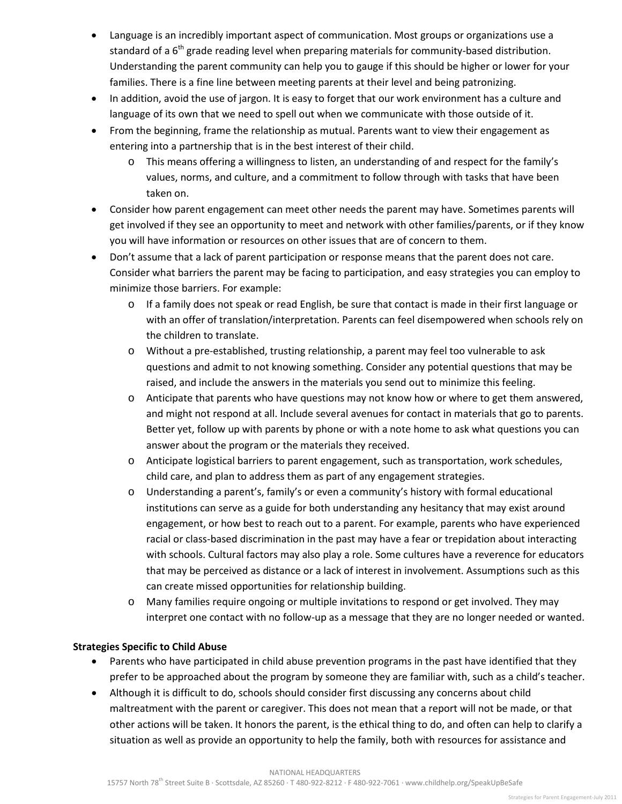- Language is an incredibly important aspect of communication. Most groups or organizations use a standard of a  $6<sup>th</sup>$  grade reading level when preparing materials for community-based distribution. Understanding the parent community can help you to gauge if this should be higher or lower for your families. There is a fine line between meeting parents at their level and being patronizing.
- In addition, avoid the use of jargon. It is easy to forget that our work environment has a culture and language of its own that we need to spell out when we communicate with those outside of it.
- From the beginning, frame the relationship as mutual. Parents want to view their engagement as entering into a partnership that is in the best interest of their child.
	- o This means offering a willingness to listen, an understanding of and respect for the family's values, norms, and culture, and a commitment to follow through with tasks that have been taken on.
- Consider how parent engagement can meet other needs the parent may have. Sometimes parents will get involved if they see an opportunity to meet and network with other families/parents, or if they know you will have information or resources on other issues that are of concern to them.
- Don't assume that a lack of parent participation or response means that the parent does not care. Consider what barriers the parent may be facing to participation, and easy strategies you can employ to minimize those barriers. For example:
	- o If a family does not speak or read English, be sure that contact is made in their first language or with an offer of translation/interpretation. Parents can feel disempowered when schools rely on the children to translate.
	- o Without a pre-established, trusting relationship, a parent may feel too vulnerable to ask questions and admit to not knowing something. Consider any potential questions that may be raised, and include the answers in the materials you send out to minimize this feeling.
	- o Anticipate that parents who have questions may not know how or where to get them answered, and might not respond at all. Include several avenues for contact in materials that go to parents. Better yet, follow up with parents by phone or with a note home to ask what questions you can answer about the program or the materials they received.
	- o Anticipate logistical barriers to parent engagement, such as transportation, work schedules, child care, and plan to address them as part of any engagement strategies.
	- o Understanding a parent's, family's or even a community's history with formal educational institutions can serve as a guide for both understanding any hesitancy that may exist around engagement, or how best to reach out to a parent. For example, parents who have experienced racial or class-based discrimination in the past may have a fear or trepidation about interacting with schools. Cultural factors may also play a role. Some cultures have a reverence for educators that may be perceived as distance or a lack of interest in involvement. Assumptions such as this can create missed opportunities for relationship building.
	- o Many families require ongoing or multiple invitations to respond or get involved. They may interpret one contact with no follow-up as a message that they are no longer needed or wanted.

## **Strategies Specific to Child Abuse**

- Parents who have participated in child abuse prevention programs in the past have identified that they prefer to be approached about the program by someone they are familiar with, such as a child's teacher.
- Although it is difficult to do, schools should consider first discussing any concerns about child maltreatment with the parent or caregiver. This does not mean that a report will not be made, or that other actions will be taken. It honors the parent, is the ethical thing to do, and often can help to clarify a situation as well as provide an opportunity to help the family, both with resources for assistance and